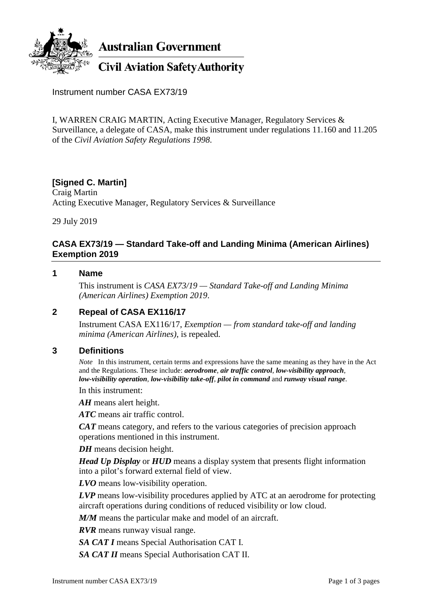

**Australian Government** 

# **Civil Aviation Safety Authority**

Instrument number CASA EX73/19

I, WARREN CRAIG MARTIN, Acting Executive Manager, Regulatory Services & Surveillance, a delegate of CASA, make this instrument under regulations 11.160 and 11.205 of the *Civil Aviation Safety Regulations 1998*.

# **[Signed C. Martin]**

Craig Martin Acting Executive Manager, Regulatory Services & Surveillance

29 July 2019

## **CASA EX73/19 — Standard Take-off and Landing Minima (American Airlines) Exemption 2019**

#### **1 Name**

This instrument is *CASA EX73/19 — Standard Take-off and Landing Minima (American Airlines) Exemption 2019*.

#### **2 Repeal of CASA EX116/17**

Instrument CASA EX116/17, *Exemption — from standard take-off and landing minima (American Airlines)*, is repealed.

#### **3 Definitions**

*Note* In this instrument, certain terms and expressions have the same meaning as they have in the Act and the Regulations. These include: *aerodrome*, *air traffic control*, *low-visibility approach*, *low-visibility operation*, *low-visibility take-off*, *pilot in command* and *runway visual range*.

In this instrument:

*AH* means alert height.

*ATC* means air traffic control.

*CAT* means category, and refers to the various categories of precision approach operations mentioned in this instrument.

*DH* means decision height.

*Head Up Display* or *HUD* means a display system that presents flight information into a pilot's forward external field of view.

*LVO* means low-visibility operation.

*LVP* means low-visibility procedures applied by ATC at an aerodrome for protecting aircraft operations during conditions of reduced visibility or low cloud.

*M/M* means the particular make and model of an aircraft.

*RVR* means runway visual range.

*SA CAT I* means Special Authorisation CAT I.

*SA CAT II* means Special Authorisation CAT II.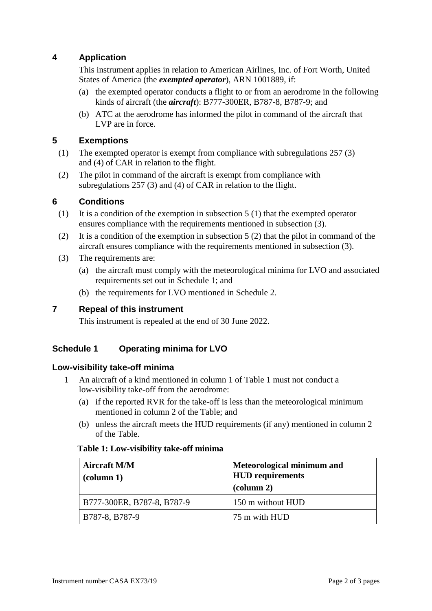## **4 Application**

This instrument applies in relation to American Airlines, Inc. of Fort Worth, United States of America (the *exempted operator*), ARN 1001889, if:

- (a) the exempted operator conducts a flight to or from an aerodrome in the following kinds of aircraft (the *aircraft*): B777-300ER, B787-8, B787-9; and
- (b) ATC at the aerodrome has informed the pilot in command of the aircraft that LVP are in force.

## **5 Exemptions**

- (1) The exempted operator is exempt from compliance with subregulations 257 (3) and (4) of CAR in relation to the flight.
- (2) The pilot in command of the aircraft is exempt from compliance with subregulations 257 (3) and (4) of CAR in relation to the flight.

## **6 Conditions**

- (1) It is a condition of the exemption in subsection 5 (1) that the exempted operator ensures compliance with the requirements mentioned in subsection (3).
- (2) It is a condition of the exemption in subsection 5 (2) that the pilot in command of the aircraft ensures compliance with the requirements mentioned in subsection (3).
- (3) The requirements are:
	- (a) the aircraft must comply with the meteorological minima for LVO and associated requirements set out in Schedule 1; and
	- (b) the requirements for LVO mentioned in Schedule 2.

#### **7 Repeal of this instrument**

This instrument is repealed at the end of 30 June 2022.

## **Schedule 1 Operating minima for LVO**

#### **Low-visibility take-off minima**

- 1 An aircraft of a kind mentioned in column 1 of Table 1 must not conduct a low-visibility take-off from the aerodrome:
	- (a) if the reported RVR for the take-off is less than the meteorological minimum mentioned in column 2 of the Table; and
	- (b) unless the aircraft meets the HUD requirements (if any) mentioned in column 2 of the Table.

#### **Table 1: Low-visibility take-off minima**

| <b>Aircraft M/M</b><br>$\alpha$ (column 1) | Meteorological minimum and<br><b>HUD</b> requirements<br>$\left(\text{column } 2\right)$ |
|--------------------------------------------|------------------------------------------------------------------------------------------|
| B777-300ER, B787-8, B787-9                 | 150 m without HUD                                                                        |
| B787-8, B787-9                             | 75 m with HUD                                                                            |